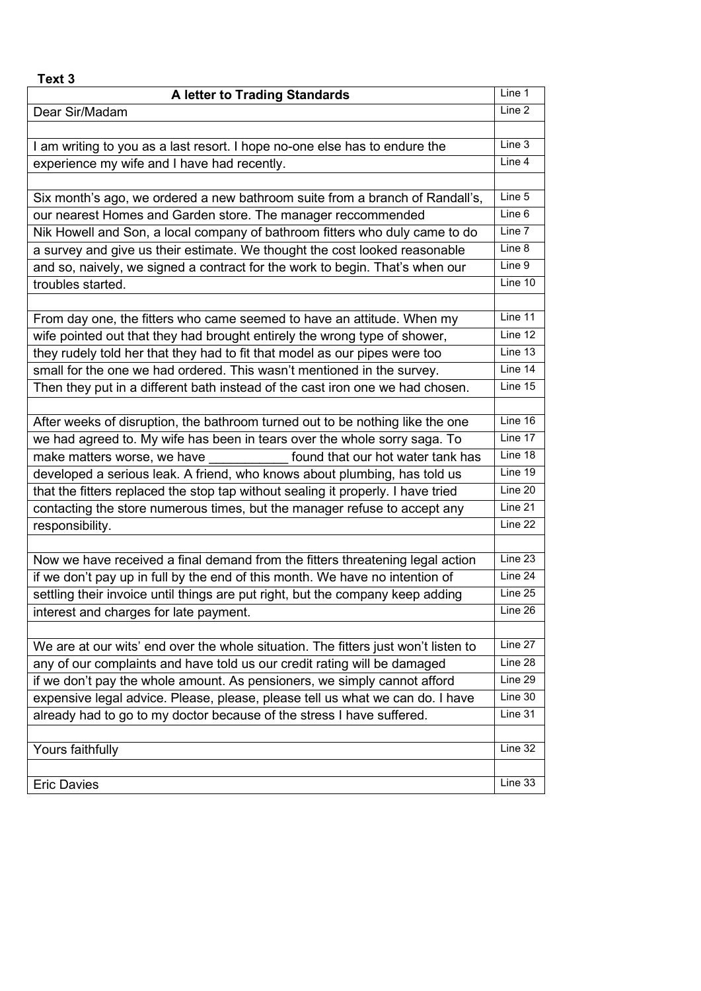| Text 3                                                                             |                   |
|------------------------------------------------------------------------------------|-------------------|
| <b>A letter to Trading Standards</b>                                               | Line 1            |
| Dear Sir/Madam                                                                     | Line <sub>2</sub> |
|                                                                                    |                   |
| I am writing to you as a last resort. I hope no-one else has to endure the         | Line 3            |
| experience my wife and I have had recently.                                        | Line 4            |
|                                                                                    |                   |
| Six month's ago, we ordered a new bathroom suite from a branch of Randall's,       | Line 5            |
| our nearest Homes and Garden store. The manager reccommended                       | Line 6            |
| Nik Howell and Son, a local company of bathroom fitters who duly came to do        | Line 7            |
| a survey and give us their estimate. We thought the cost looked reasonable         | Line 8            |
| and so, naively, we signed a contract for the work to begin. That's when our       | Line 9            |
| troubles started.                                                                  | Line 10           |
|                                                                                    |                   |
| From day one, the fitters who came seemed to have an attitude. When my             | Line 11           |
| wife pointed out that they had brought entirely the wrong type of shower,          | Line 12           |
| they rudely told her that they had to fit that model as our pipes were too         | Line 13           |
| small for the one we had ordered. This wasn't mentioned in the survey.             | Line 14           |
| Then they put in a different bath instead of the cast iron one we had chosen.      | Line 15           |
|                                                                                    |                   |
| After weeks of disruption, the bathroom turned out to be nothing like the one      | Line 16           |
| we had agreed to. My wife has been in tears over the whole sorry saga. To          | Line 17           |
| make matters worse, we have<br>found that our hot water tank has                   | Line 18           |
| developed a serious leak. A friend, who knows about plumbing, has told us          | Line 19           |
| that the fitters replaced the stop tap without sealing it properly. I have tried   | Line 20           |
| contacting the store numerous times, but the manager refuse to accept any          | Line 21           |
| responsibility.                                                                    | Line 22           |
|                                                                                    |                   |
| Now we have received a final demand from the fitters threatening legal action      | Line 23           |
| if we don't pay up in full by the end of this month. We have no intention of       | Line 24           |
| settling their invoice until things are put right, but the company keep adding     | Line $25$         |
| interest and charges for late payment.                                             | Line 26           |
|                                                                                    |                   |
| We are at our wits' end over the whole situation. The fitters just won't listen to | Line 27           |
| any of our complaints and have told us our credit rating will be damaged           | Line 28           |
| if we don't pay the whole amount. As pensioners, we simply cannot afford           | Line 29           |
| expensive legal advice. Please, please, please tell us what we can do. I have      | Line 30           |
| already had to go to my doctor because of the stress I have suffered.              | Line 31           |
|                                                                                    |                   |
| Yours faithfully                                                                   | Line 32           |
|                                                                                    |                   |
| <b>Eric Davies</b>                                                                 | Line 33           |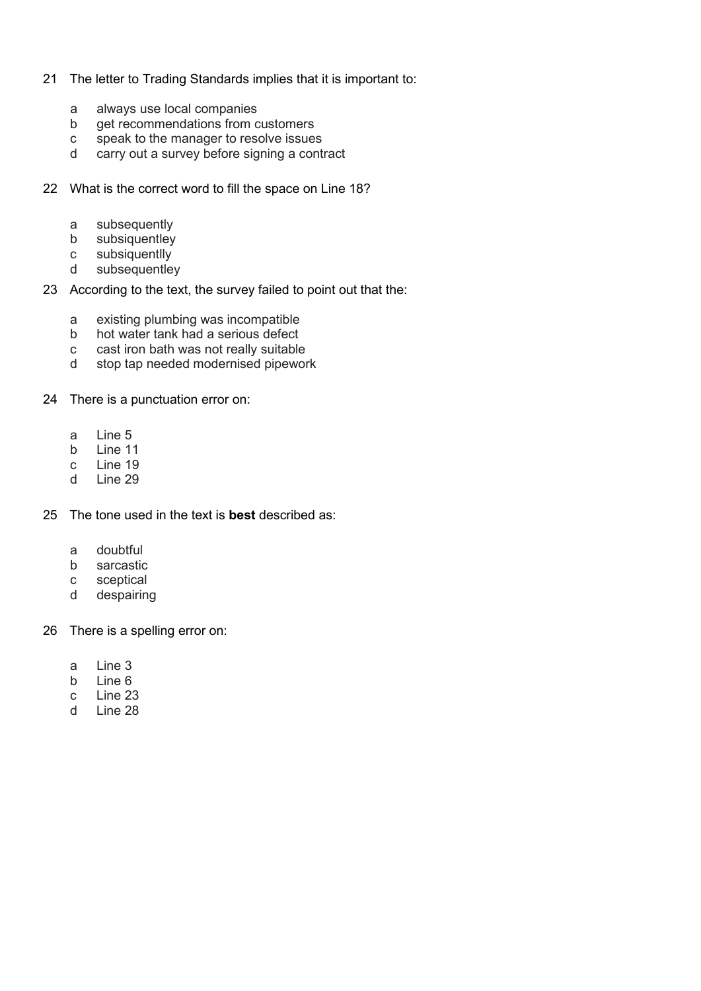## 21 The letter to Trading Standards implies that it is important to:

- a always use local companies<br>b aet recommendations from o
- b get recommendations from customers
- c speak to the manager to resolve issues
- d carry out a survey before signing a contract
- 22 What is the correct word to fill the space on Line 18?
	- a subsequently<br>b subsiquentley
	- subsiquentley
	- c subsiquentlly
	- d subsequentley
- 23 According to the text, the survey failed to point out that the:
	- a existing plumbing was incompatible
	- b hot water tank had a serious defect
	- c cast iron bath was not really suitable
	- d stop tap needed modernised pipework
- 24 There is a punctuation error on:
	- a Line 5
	- b Line 11
	- c Line 19
	- d Line 29
- 25 The tone used in the text is **best** described as:
	- a doubtful
	- b sarcastic
	- c sceptical
	- d despairing
- 26 There is a spelling error on:
	- a Line 3
	- b Line 6
	- c Line 23
	- d Line 28